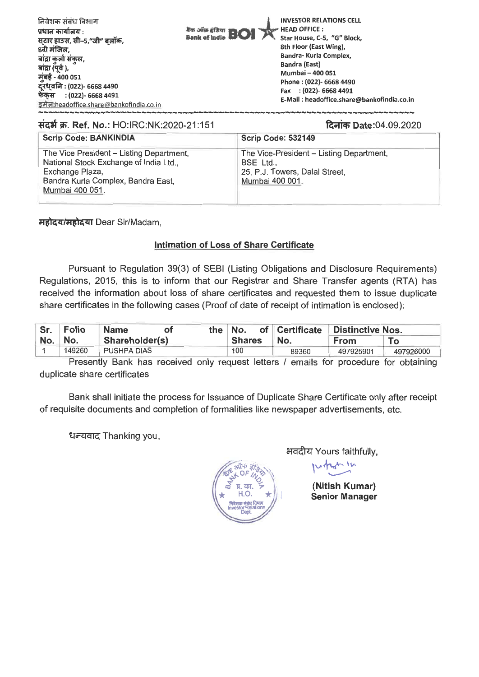| 8th Floor (East Wing),<br>8वी मंजिल,<br>बांद्रा कुर्ला संकुल,<br>बांद्रा (पूर्व ),<br>मुंबई - 400 051<br>दूरध्वनि : (022)- 6668 4490<br>फेकस : (022)- 6668 4491<br>इमेल:headoffice.share@bankofindia.co.in | Bandra- Kurla Complex,<br><b>Bandra (East)</b><br>Mumbai - 400 051<br>Phone: (022)- 6668 4490<br>Fax : (022)- 6668 4491<br>E-Mail: headoffice.share@bankofindia.co.in |
|------------------------------------------------------------------------------------------------------------------------------------------------------------------------------------------------------------|-----------------------------------------------------------------------------------------------------------------------------------------------------------------------|
|------------------------------------------------------------------------------------------------------------------------------------------------------------------------------------------------------------|-----------------------------------------------------------------------------------------------------------------------------------------------------------------------|

## संदर्भ क्र. Ref. No.: HO:IRC:NK:2020-21:151

दिनांक Date:04.09.2020

| <b>Scrip Code: BANKINDIA</b>                                                                                                                                   | Scrip Code: 532149                                                                                         |  |  |  |
|----------------------------------------------------------------------------------------------------------------------------------------------------------------|------------------------------------------------------------------------------------------------------------|--|--|--|
| The Vice President - Listing Department,<br>National Stock Exchange of India Ltd.,<br>Exchange Plaza,<br>Bandra Kurla Complex, Bandra East,<br>Mumbai 400 051. | The Vice-President - Listing Department,<br>BSE Ltd.,<br>25, P.J. Towers, Dalal Street,<br>Mumbai 400 001. |  |  |  |

महोदय/महोदया Dear Sir/Madam,

## **Intimation of Loss of Share** Certificate

Pursuant to Regulation 39(3) of SEBI (Listing Obligations and Disclosure Requirements) Regulations, 2015, this is to inform that our Registrar and Share Transfer agents (RTA) has received the information about loss of share certificates and requested them to issue duplicate share certificates in the following cases (Proof of date of receipt of intimation is enclosed):

|           | Sr. Folio<br>⊟Name⊹<br>ΩŤ |                    | the No. |        | of Certificate Distinctive Nos. |           |           |
|-----------|---------------------------|--------------------|---------|--------|---------------------------------|-----------|-----------|
| $No.$ No. |                           | Shareholder(s)     |         | Shares | No.                             | From      | To        |
|           | 149260                    | <b>PUSHPA DIAS</b> |         | 100    | 89360                           | 497925901 | 497926000 |

Presently Bank has received only request letters / emails for procedure for obtaining duplicate share certificates

Bank shall initiate the process for Issuance of Duplicate Share Certificate only after receipt of requisite documents and completion of formalities like newspaper advertisements, etc.

धन्यवाद Thanking you,



भवदीय Yours faithfully,

**(Nitish Kumar) Senior Manager**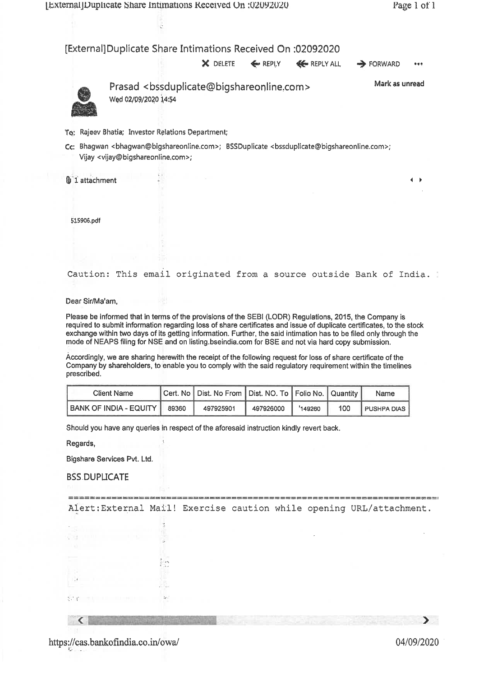ć

## (External] Duplicate Share Intimations Received On :02092020

 $\times$  DELETE  $\leftarrow$  REPLY  $\leftarrow$  REPLY ALL  $\rightarrow$  FORWARD

 $...$ 



Prasad <bssduplicate@bigshareonline.com> Wed 02/09/2020 14:54

Mark as unread

 $\leftarrow$ 

To: Rajeev Bhatia; Investor Relations Department;

Cc: Bhagwan <bhagwan@bigshareonline.com>; BSSDuplicate <bssduplicate@bigshareonline.com>; Vijay <vijay@bigshareonline.com>;

**U** 1 attachment

515906.pdf

Caution: This email originated from a source outside Bank of India.

Dear Sir/Ma'am,

Please be informed that in terms of the provisions of the SEBI (LODR) Regulations, 2015, the Company is required to submit information regarding loss of share certificates and issue of duplicate certificates, to the stock exchange within two days of its getting information. Further, the said intimation has to be filed only through the mode of NEAPS filing for NSE and on listing.bseindia.com for BSE and not via hard copy submission.

Accordingly, we are sharing herewith the receipt of the following request for loss of share certificate of the Company by shareholders, to enable you to comply with the said regulatory requirement within the timelines prescribed.

| <b>Client Name</b>           | Cert. No   Dist. No From   Dist. NO. To   Folio No.   Quantity |           |        |     | Name               |
|------------------------------|----------------------------------------------------------------|-----------|--------|-----|--------------------|
| BANK OF INDIA - EQUITY 89360 | 497925901                                                      | 497926000 | 149260 | 100 | <b>PUSHPA DIAS</b> |

Should you have any queries in respect of the aforesaid instruction kindly revert back.

Regards,

Bigshare Services Pvt. Ltd.

**BSS DUPLICATE** 

Alert:External Mail! Exercise caution while opening URL/attachment.

< 11111111111111110111111111111111

https://cas.bankofindia.co.in/owa/ 04/09/2020

⋗